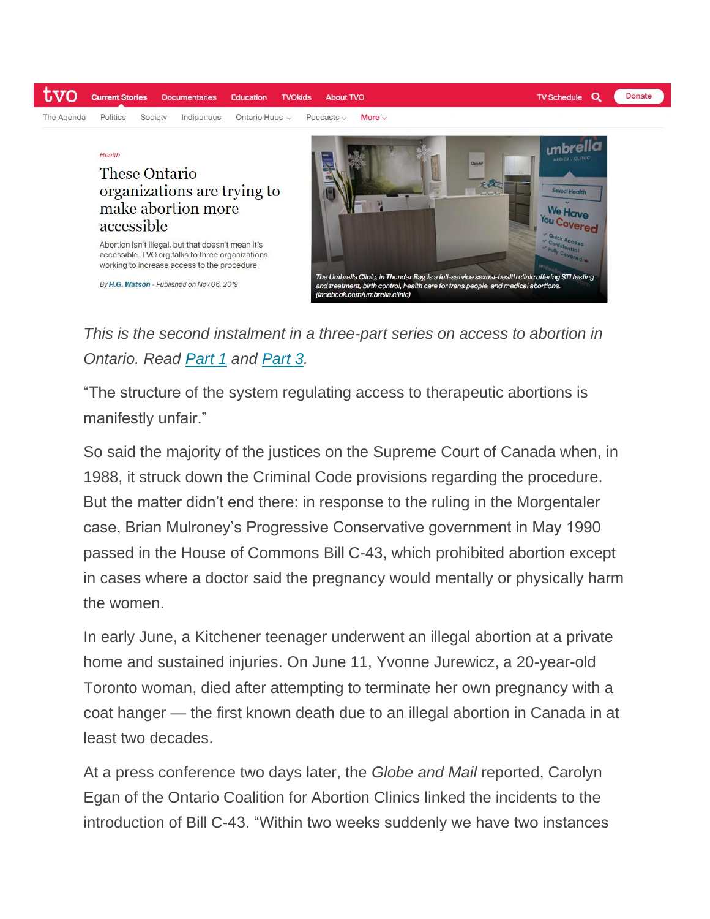

*This is the second instalment in a three-part series on access to abortion in Ontario. Read [Part 1](https://www.tvo.org/article/three-decades-since-morgentaler-stigma-still-restricts-access-to-abortion) and [Part 3.](https://www.tvo.org/article/why-accessing-medical-abortions-is-so-difficult-in-ontario)*

"The structure of the system regulating access to therapeutic abortions is manifestly unfair."

So said the majority of the justices on the Supreme Court of Canada when, in 1988, it struck down the Criminal Code provisions regarding the procedure. But the matter didn't end there: in response to the ruling in the Morgentaler case, Brian Mulroney's Progressive Conservative government in May 1990 passed in the House of Commons Bill C-43, which prohibited abortion except in cases where a doctor said the pregnancy would mentally or physically harm the women.

In early June, a Kitchener teenager underwent an illegal abortion at a private home and sustained injuries. On June 11, Yvonne Jurewicz, a 20-year-old Toronto woman, died after attempting to terminate her own pregnancy with a coat hanger — the first known death due to an illegal abortion in Canada in at least two decades.

At a press conference two days later, the *Globe and Mail* reported, Carolyn Egan of the Ontario Coalition for Abortion Clinics linked the incidents to the introduction of Bill C-43. "Within two weeks suddenly we have two instances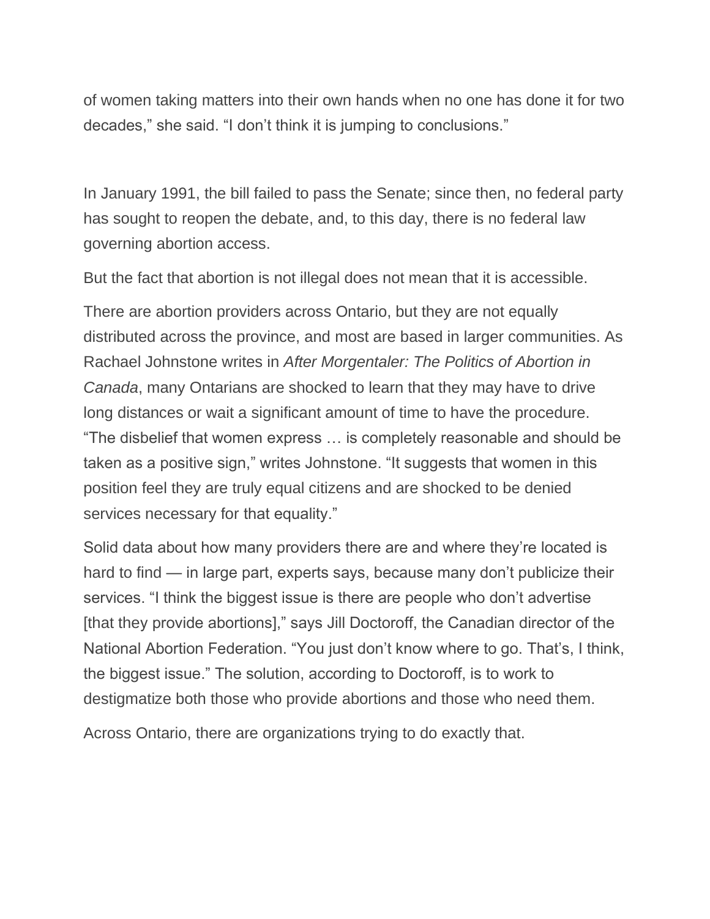of women taking matters into their own hands when no one has done it for two decades," she said. "I don't think it is jumping to conclusions."

In January 1991, the bill failed to pass the Senate; since then, no federal party has sought to reopen the debate, and, to this day, there is no federal law governing abortion access.

But the fact that abortion is not illegal does not mean that it is accessible.

There are abortion providers across Ontario, but they are not equally distributed across the province, and most are based in larger communities. As Rachael Johnstone writes in *After Morgentaler: The Politics of Abortion in Canada*, many Ontarians are shocked to learn that they may have to drive long distances or wait a significant amount of time to have the procedure. "The disbelief that women express … is completely reasonable and should be taken as a positive sign," writes Johnstone. "It suggests that women in this position feel they are truly equal citizens and are shocked to be denied services necessary for that equality."

Solid data about how many providers there are and where they're located is hard to find — in large part, experts says, because many don't publicize their services. "I think the biggest issue is there are people who don't advertise [that they provide abortions]," says Jill Doctoroff, the Canadian director of the National Abortion Federation. "You just don't know where to go. That's, I think, the biggest issue." The solution, according to Doctoroff, is to work to destigmatize both those who provide abortions and those who need them.

Across Ontario, there are organizations trying to do exactly that.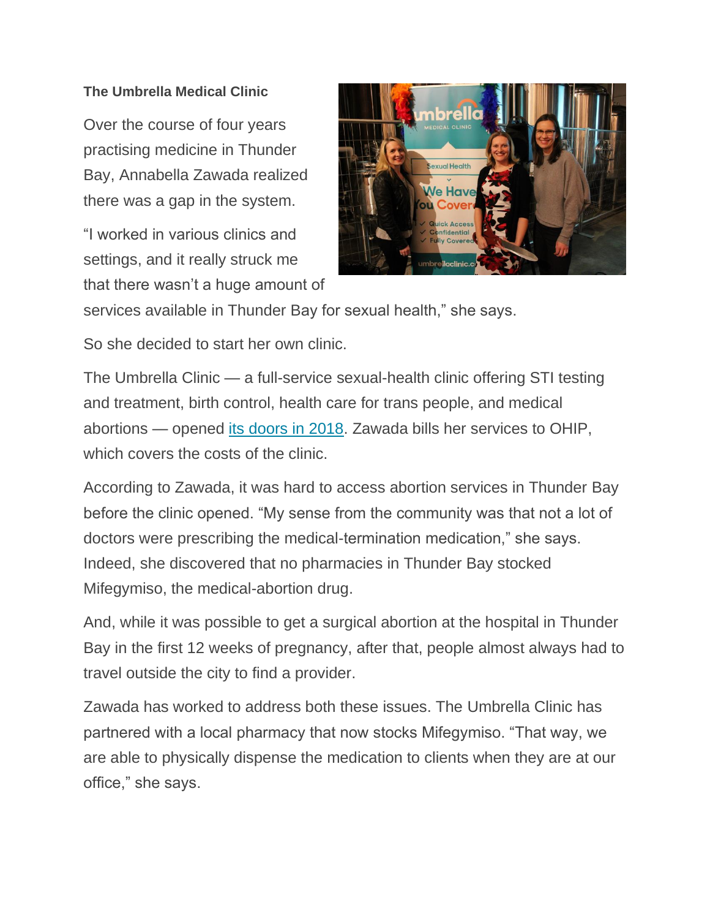## **The Umbrella Medical Clinic**

Over the course of four years practising medicine in Thunder Bay, Annabella Zawada realized there was a gap in the system.

"I worked in various clinics and settings, and it really struck me that there wasn't a huge amount of



services available in Thunder Bay for sexual health," she says.

So she decided to start her own clinic.

The Umbrella Clinic — a full-service sexual-health clinic offering STI testing and treatment, birth control, health care for trans people, and medical abortions — opened [its doors in 2018.](https://www.cbc.ca/news/canada/thunder-bay/umbrella-medical-clinic-1.4842498) Zawada bills her services to OHIP, which covers the costs of the clinic.

According to Zawada, it was hard to access abortion services in Thunder Bay before the clinic opened. "My sense from the community was that not a lot of doctors were prescribing the medical-termination medication," she says. Indeed, she discovered that no pharmacies in Thunder Bay stocked Mifegymiso, the medical-abortion drug.

And, while it was possible to get a surgical abortion at the hospital in Thunder Bay in the first 12 weeks of pregnancy, after that, people almost always had to travel outside the city to find a provider.

Zawada has worked to address both these issues. The Umbrella Clinic has partnered with a local pharmacy that now stocks Mifegymiso. "That way, we are able to physically dispense the medication to clients when they are at our office," she says.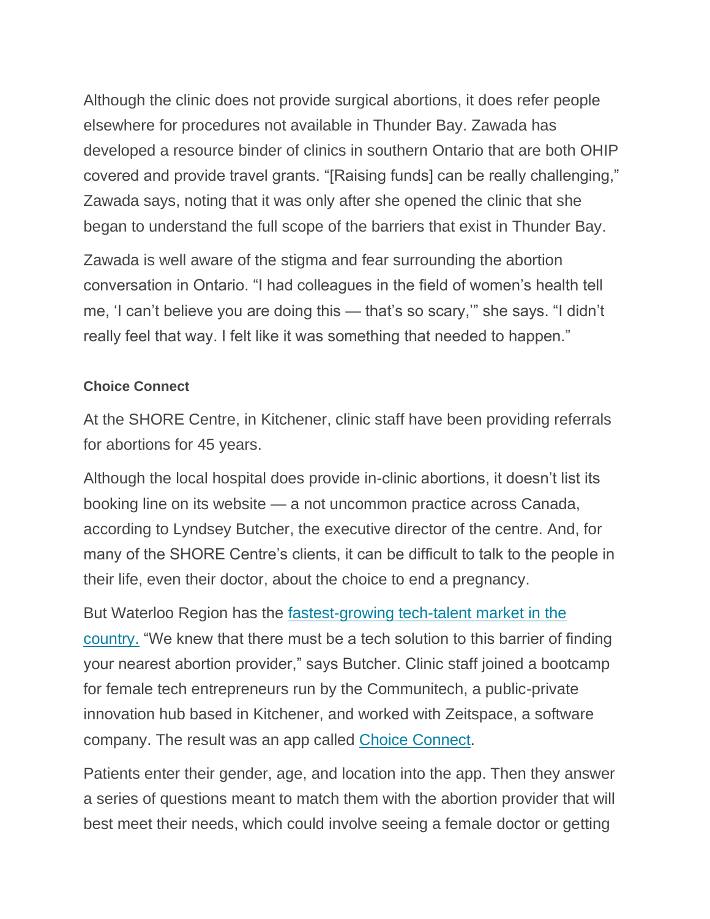Although the clinic does not provide surgical abortions, it does refer people elsewhere for procedures not available in Thunder Bay. Zawada has developed a resource binder of clinics in southern Ontario that are both OHIP covered and provide travel grants. "[Raising funds] can be really challenging," Zawada says, noting that it was only after she opened the clinic that she began to understand the full scope of the barriers that exist in Thunder Bay.

Zawada is well aware of the stigma and fear surrounding the abortion conversation in Ontario. "I had colleagues in the field of women's health tell me, 'I can't believe you are doing this — that's so scary,'" she says. "I didn't really feel that way. I felt like it was something that needed to happen."

## **Choice Connect**

At the SHORE Centre, in Kitchener, clinic staff have been providing referrals for abortions for 45 years.

Although the local hospital does provide in-clinic abortions, it doesn't list its booking line on its website — a not uncommon practice across Canada, according to Lyndsey Butcher, the executive director of the centre. And, for many of the SHORE Centre's clients, it can be difficult to talk to the people in their life, even their doctor, about the choice to end a pregnancy.

But Waterloo Region has the [fastest-growing tech-talent market in the](https://www.therecord.com/news-story/7961072-waterloo-region-is-fastest-growing-tech-talent-market-in-canada/)  [country.](https://www.therecord.com/news-story/7961072-waterloo-region-is-fastest-growing-tech-talent-market-in-canada/) "We knew that there must be a tech solution to this barrier of finding your nearest abortion provider," says Butcher. Clinic staff joined a bootcamp for female tech entrepreneurs run by the Communitech, a public-private innovation hub based in Kitchener, and worked with Zeitspace, a software company. The result was an app called [Choice Connect.](https://referral.shorecentre.ca/)

Patients enter their gender, age, and location into the app. Then they answer a series of questions meant to match them with the abortion provider that will best meet their needs, which could involve seeing a female doctor or getting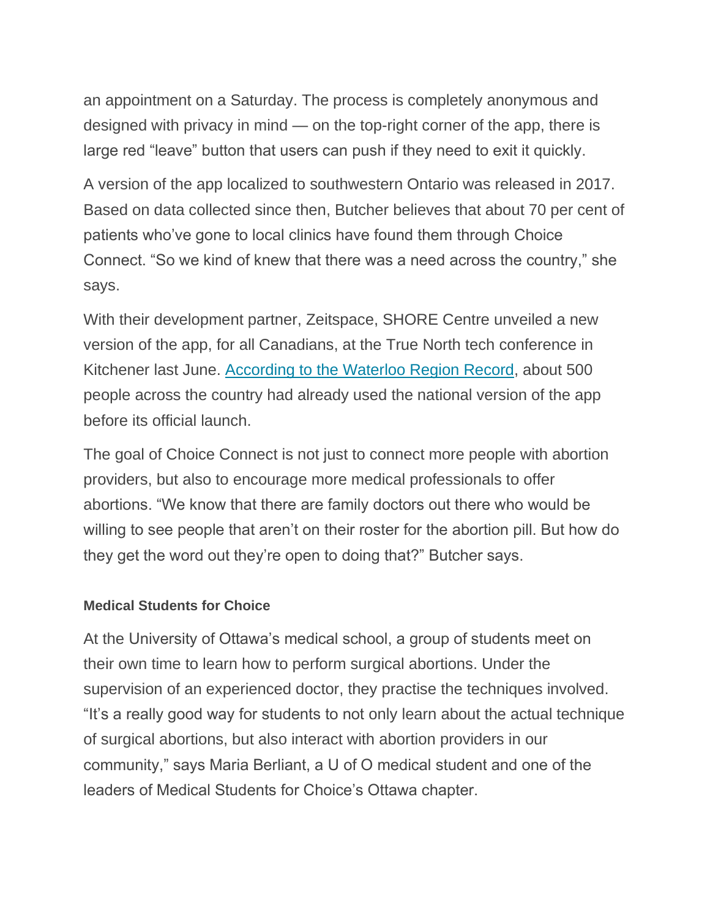an appointment on a Saturday. The process is completely anonymous and designed with privacy in mind — on the top-right corner of the app, there is large red "leave" button that users can push if they need to exit it quickly.

A version of the app localized to southwestern Ontario was released in 2017. Based on data collected since then, Butcher believes that about 70 per cent of patients who've gone to local clinics have found them through Choice Connect. "So we kind of knew that there was a need across the country," she says.

With their development partner, Zeitspace, SHORE Centre unveiled a new version of the app, for all Canadians, at the True North tech conference in Kitchener last June. [According to the](https://www.therecord.com/news-story/9444451-kitchener-developed-abortion-referral-app-launched-nationally/) [Waterloo Region Record,](https://www.therecord.com/news-story/9444451-kitchener-developed-abortion-referral-app-launched-nationally/) about 500 people across the country had already used the national version of the app before its official launch.

The goal of Choice Connect is not just to connect more people with abortion providers, but also to encourage more medical professionals to offer abortions. "We know that there are family doctors out there who would be willing to see people that aren't on their roster for the abortion pill. But how do they get the word out they're open to doing that?" Butcher says.

## **Medical Students for Choice**

At the University of Ottawa's medical school, a group of students meet on their own time to learn how to perform surgical abortions. Under the supervision of an experienced doctor, they practise the techniques involved. "It's a really good way for students to not only learn about the actual technique of surgical abortions, but also interact with abortion providers in our community," says Maria Berliant, a U of O medical student and one of the leaders of Medical Students for Choice's Ottawa chapter.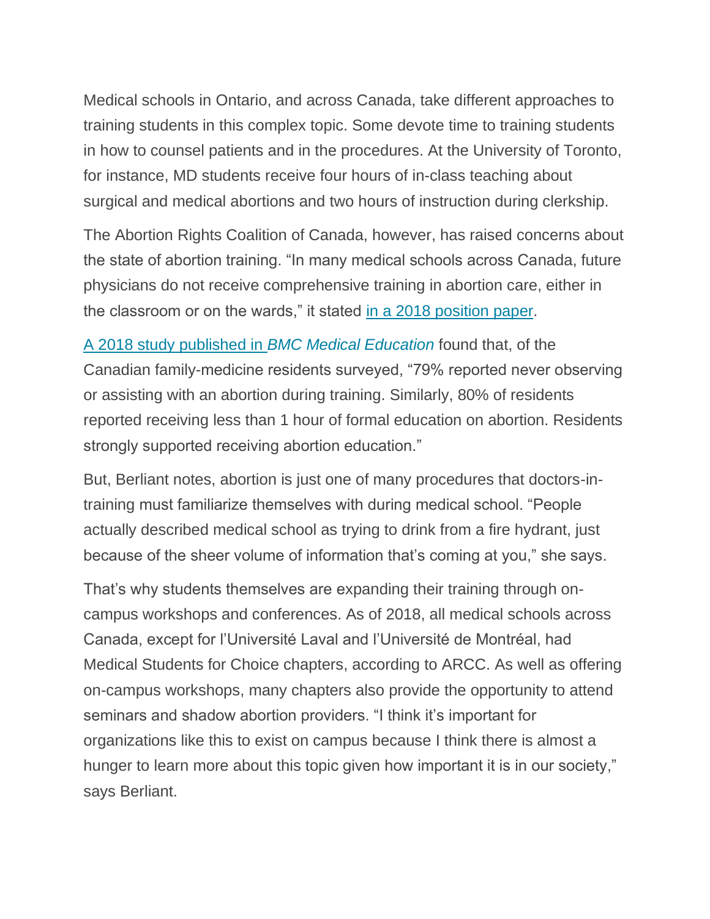Medical schools in Ontario, and across Canada, take different approaches to training students in this complex topic. Some devote time to training students in how to counsel patients and in the procedures. At the University of Toronto, for instance, MD students receive four hours of in-class teaching about surgical and medical abortions and two hours of instruction during clerkship.

The Abortion Rights Coalition of Canada, however, has raised concerns about the state of abortion training. "In many medical schools across Canada, future physicians do not receive comprehensive training in abortion care, either in the classroom or on the wards," it stated [in a 2018 position](http://www.arcc-cdac.ca/postionpapers/06-Training-Abortion-Providers-MSFC.PDF) paper.

[A 2018 study published in](https://www.ncbi.nlm.nih.gov/pubmed/29859073) *BMC Medical Education* found that, of the Canadian family-medicine residents surveyed, "79% reported never observing or assisting with an abortion during training. Similarly, 80% of residents reported receiving less than 1 hour of formal education on abortion. Residents strongly supported receiving abortion education."

But, Berliant notes, abortion is just one of many procedures that doctors-intraining must familiarize themselves with during medical school. "People actually described medical school as trying to drink from a fire hydrant, just because of the sheer volume of information that's coming at you," she says.

That's why students themselves are expanding their training through oncampus workshops and conferences. As of 2018, all medical schools across Canada, except for l'Université Laval and l'Université de Montréal, had Medical Students for Choice chapters, according to ARCC. As well as offering on-campus workshops, many chapters also provide the opportunity to attend seminars and shadow abortion providers. "I think it's important for organizations like this to exist on campus because I think there is almost a hunger to learn more about this topic given how important it is in our society," says Berliant.